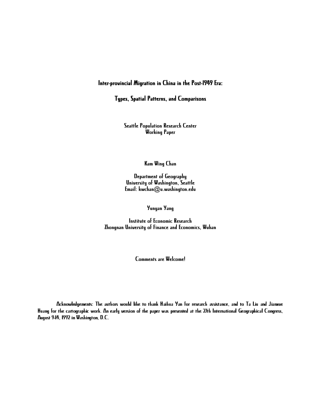# Inter-provincial Migration in China in the Post-1949 Era:

# Types, Spatial Patterns, and Comparisons

Seattle Population Research Center Working Paper

Kam Wing Chan

Department of Geography University of Washington, Seattle  $Email: kwchan@u.washington.edu$ 

Yunyan Yang

Institute of Economic Research Zhongnan University of Finance and Economics, Wuhan

Comments are Welcome!

Acknowledgements: The authors would like to thank Haihua Yan For research assistance, and to Ta Liu and Jianxue Huang for the cartographic work. An early version of the paper was presented at the 27th International Geographical Congress, August 9-14, 1992 in Washington, D.C.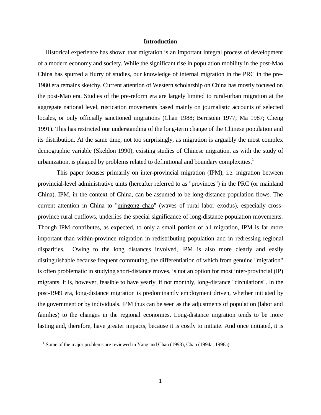# **Introduction**

 Historical experience has shown that migration is an important integral process of development of a modern economy and society. While the significant rise in population mobility in the post-Mao China has spurred a flurry of studies, our knowledge of internal migration in the PRC in the pre-1980 era remains sketchy. Current attention of Western scholarship on China has mostly focused on the post-Mao era. Studies of the pre-reform era are largely limited to rural-urban migration at the aggregate national level, rustication movements based mainly on journalistic accounts of selected locales, or only officially sanctioned migrations (Chan 1988; Bernstein 1977; Ma 1987; Cheng 1991). This has restricted our understanding of the long-term change of the Chinese population and its distribution. At the same time, not too surprisingly, as migration is arguably the most complex demographic variable (Skeldon 1990), existing studies of Chinese migration, as with the study of urbanization, is plagued by problems related to definitional and boundary complexities.<sup>1</sup>

This paper focuses primarily on inter-provincial migration (IPM), i.e. migration between provincial-level administrative units (hereafter referred to as "provinces") in the PRC (or mainland China). IPM, in the context of China, can be assumed to be long-distance population flows. The current attention in China to "mingong chao" (waves of rural labor exodus), especially crossprovince rural outflows, underlies the special significance of long-distance population movements. Though IPM contributes, as expected, to only a small portion of all migration, IPM is far more important than within-province migration in redistributing population and in redressing regional disparities. Owing to the long distances involved, IPM is also more clearly and easily distinguishable because frequent commuting, the differentiation of which from genuine "migration" is often problematic in studying short-distance moves, is not an option for most inter-provincial (IP) migrants. It is, however, feasible to have yearly, if not monthly, long-distance "circulations". In the post-1949 era, long-distance migration is predominantly employment driven, whether initiated by the government or by individuals. IPM thus can be seen as the adjustments of population (labor and families) to the changes in the regional economies. Long-distance migration tends to be more lasting and, therefore, have greater impacts, because it is costly to initiate. And once initiated, it is

<sup>&</sup>lt;sup>1</sup> Some of the major problems are reviewed in Yang and Chan (1993), Chan (1994a; 1996a).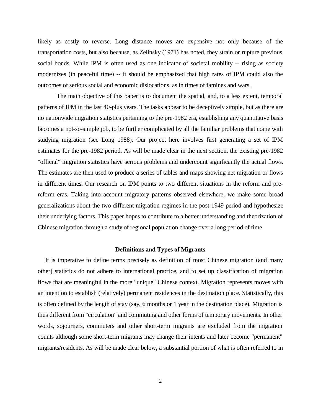likely as costly to reverse. Long distance moves are expensive not only because of the transportation costs, but also because, as Zelinsky (1971) has noted, they strain or rupture previous social bonds. While IPM is often used as one indicator of societal mobility -- rising as society modernizes (in peaceful time) -- it should be emphasized that high rates of IPM could also the outcomes of serious social and economic dislocations, as in times of famines and wars.

The main objective of this paper is to document the spatial, and, to a less extent, temporal patterns of IPM in the last 40-plus years. The tasks appear to be deceptively simple, but as there are no nationwide migration statistics pertaining to the pre-1982 era, establishing any quantitative basis becomes a not-so-simple job, to be further complicated by all the familiar problems that come with studying migration (see Long 1988). Our project here involves first generating a set of IPM estimates for the pre-1982 period. As will be made clear in the next section, the existing pre-1982 "official" migration statistics have serious problems and undercount significantly the actual flows. The estimates are then used to produce a series of tables and maps showing net migration or flows in different times. Our research on IPM points to two different situations in the reform and prereform eras. Taking into account migratory patterns observed elsewhere, we make some broad generalizations about the two different migration regimes in the post-1949 period and hypothesize their underlying factors. This paper hopes to contribute to a better understanding and theorization of Chinese migration through a study of regional population change over a long period of time.

# **Definitions and Types of Migrants**

 It is imperative to define terms precisely as definition of most Chinese migration (and many other) statistics do not adhere to international practice, and to set up classification of migration flows that are meaningful in the more "unique" Chinese context. Migration represents moves with an intention to establish (relatively) permanent residences in the destination place. Statistically, this is often defined by the length of stay (say, 6 months or 1 year in the destination place). Migration is thus different from "circulation" and commuting and other forms of temporary movements. In other words, sojourners, commuters and other short-term migrants are excluded from the migration counts although some short-term migrants may change their intents and later become "permanent" migrants/residents. As will be made clear below, a substantial portion of what is often referred to in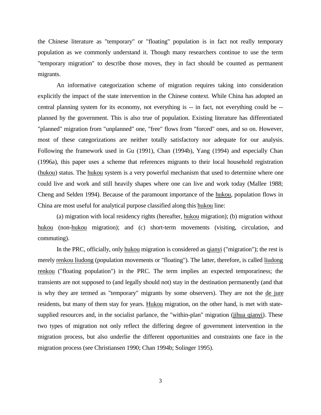the Chinese literature as "temporary" or "floating" population is in fact not really temporary population as we commonly understand it. Though many researchers continue to use the term "temporary migration" to describe those moves, they in fact should be counted as permanent migrants.

An informative categorization scheme of migration requires taking into consideration explicitly the impact of the state intervention in the Chinese context. While China has adopted an central planning system for its economy, not everything is -- in fact, not everything could be - planned by the government. This is also true of population. Existing literature has differentiated "planned" migration from "unplanned" one, "free" flows from "forced" ones, and so on. However, most of these categorizations are neither totally satisfactory nor adequate for our analysis. Following the framework used in Gu (1991), Chan (1994b), Yang (1994) and especially Chan (1996a), this paper uses a scheme that references migrants to their local household registration (hukou) status. The hukou system is a very powerful mechanism that used to determine where one could live and work and still heavily shapes where one can live and work today (Mallee 1988; Cheng and Selden 1994). Because of the paramount importance of the hukou, population flows in China are most useful for analytical purpose classified along this hukou line:

(a) migration with local residency rights (hereafter, hukou migration); (b) migration without hukou (non-hukou migration); and (c) short-term movements (visiting, circulation, and commuting).

In the PRC, officially, only hukou migration is considered as qianyi ("migration"); the rest is merely renkou liudong (population movements or "floating"). The latter, therefore, is called liudong renkou ("floating population") in the PRC. The term implies an expected temporariness; the transients are not supposed to (and legally should not) stay in the destination permanently (and that is why they are termed as "temporary" migrants by some observers). They are not the de jure residents, but many of them stay for years. Hukou migration, on the other hand, is met with statesupplied resources and, in the socialist parlance, the "within-plan" migration (jihua qianyi). These two types of migration not only reflect the differing degree of government intervention in the migration process, but also underlie the different opportunities and constraints one face in the migration process (see Christiansen 1990; Chan 1994b; Solinger 1995).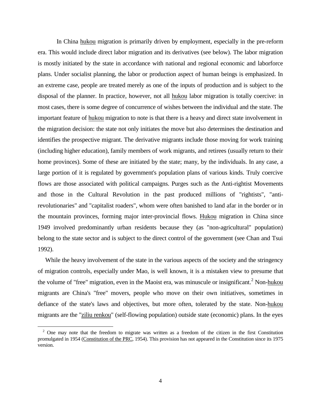In China hukou migration is primarily driven by employment, especially in the pre-reform era. This would include direct labor migration and its derivatives (see below). The labor migration is mostly initiated by the state in accordance with national and regional economic and laborforce plans. Under socialist planning, the labor or production aspect of human beings is emphasized. In an extreme case, people are treated merely as one of the inputs of production and is subject to the disposal of the planner. In practice, however, not all hukou labor migration is totally coercive: in most cases, there is some degree of concurrence of wishes between the individual and the state. The important feature of hukou migration to note is that there is a heavy and direct state involvement in the migration decision: the state not only initiates the move but also determines the destination and identifies the prospective migrant. The derivative migrants include those moving for work training (including higher education), family members of work migrants, and retirees (usually return to their home provinces). Some of these are initiated by the state; many, by the individuals. In any case, a large portion of it is regulated by government's population plans of various kinds. Truly coercive flows are those associated with political campaigns. Purges such as the Anti-rightist Movements and those in the Cultural Revolution in the past produced millions of "rightists", "antirevolutionaries" and "capitalist roaders", whom were often banished to land afar in the border or in the mountain provinces, forming major inter-provincial flows. Hukou migration in China since 1949 involved predominantly urban residents because they (as "non-agricultural" population) belong to the state sector and is subject to the direct control of the government (see Chan and Tsui 1992).

 While the heavy involvement of the state in the various aspects of the society and the stringency of migration controls, especially under Mao, is well known, it is a mistaken view to presume that the volume of "free" migration, even in the Maoist era, was minuscule or insignificant.<sup>2</sup> Non-hukou migrants are China's "free" movers, people who move on their own initiatives, sometimes in defiance of the state's laws and objectives, but more often, tolerated by the state. Non-hukou migrants are the "ziliu renkou" (self-flowing population) outside state (economic) plans. In the eyes

<sup>&</sup>lt;sup>2</sup> One may note that the freedom to migrate was written as a freedom of the citizen in the first Constitution promulgated in 1954 (Constitution of the PRC, 1954). This provision has not appeared in the Constitution since its 1975 version.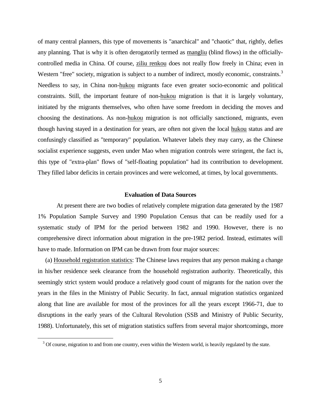of many central planners, this type of movements is "anarchical" and "chaotic" that, rightly, defies any planning. That is why it is often derogatorily termed as mangliu (blind flows) in the officiallycontrolled media in China. Of course, ziliu renkou does not really flow freely in China; even in Western "free" society, migration is subject to a number of indirect, mostly economic, constraints.<sup>3</sup> Needless to say, in China non-hukou migrants face even greater socio-economic and political constraints. Still, the important feature of non-hukou migration is that it is largely voluntary, initiated by the migrants themselves, who often have some freedom in deciding the moves and choosing the destinations. As non-hukou migration is not officially sanctioned, migrants, even though having stayed in a destination for years, are often not given the local hukou status and are confusingly classified as "temporary" population. Whatever labels they may carry, as the Chinese socialist experience suggests, even under Mao when migration controls were stringent, the fact is, this type of "extra-plan" flows of "self-floating population" had its contribution to development. They filled labor deficits in certain provinces and were welcomed, at times, by local governments.

# **Evaluation of Data Sources**

At present there are two bodies of relatively complete migration data generated by the 1987 1% Population Sample Survey and 1990 Population Census that can be readily used for a systematic study of IPM for the period between 1982 and 1990. However, there is no comprehensive direct information about migration in the pre-1982 period. Instead, estimates will have to made. Information on IPM can be drawn from four major sources:

 (a) Household registration statistics: The Chinese laws requires that any person making a change in his/her residence seek clearance from the household registration authority. Theoretically, this seemingly strict system would produce a relatively good count of migrants for the nation over the years in the files in the Ministry of Public Security. In fact, annual migration statistics organized along that line are available for most of the provinces for all the years except 1966-71, due to disruptions in the early years of the Cultural Revolution (SSB and Ministry of Public Security, 1988). Unfortunately, this set of migration statistics suffers from several major shortcomings, more

 $3$  Of course, migration to and from one country, even within the Western world, is heavily regulated by the state.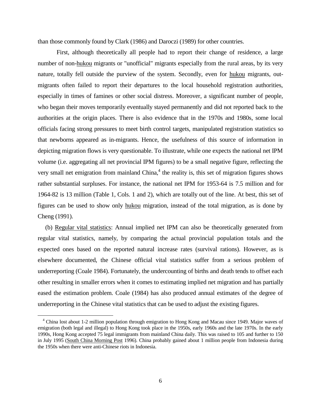than those commonly found by Clark (1986) and Daroczi (1989) for other countries.

First, although theoretically all people had to report their change of residence, a large number of non-hukou migrants or "unofficial" migrants especially from the rural areas, by its very nature, totally fell outside the purview of the system. Secondly, even for hukou migrants, outmigrants often failed to report their departures to the local household registration authorities, especially in times of famines or other social distress. Moreover, a significant number of people, who began their moves temporarily eventually stayed permanently and did not reported back to the authorities at the origin places. There is also evidence that in the 1970s and 1980s, some local officials facing strong pressures to meet birth control targets, manipulated registration statistics so that newborns appeared as in-migrants. Hence, the usefulness of this source of information in depicting migration flows is very questionable. To illustrate, while one expects the national net IPM volume (i.e. aggregating all net provincial IPM figures) to be a small negative figure, reflecting the very small net emigration from mainland China, $4$  the reality is, this set of migration figures shows rather substantial surpluses. For instance, the national net IPM for 1953-64 is 7.5 million and for 1964-82 is 13 million (Table 1, Cols. 1 and 2), which are totally out of the line. At best, this set of figures can be used to show only hukou migration, instead of the total migration, as is done by Cheng (1991).

 (b) Regular vital statistics: Annual implied net IPM can also be theoretically generated from regular vital statistics, namely, by comparing the actual provincial population totals and the expected ones based on the reported natural increase rates (survival rations). However, as is elsewhere documented, the Chinese official vital statistics suffer from a serious problem of underreporting (Coale 1984). Fortunately, the undercounting of births and death tends to offset each other resulting in smaller errors when it comes to estimating implied net migration and has partially eased the estimation problem. Coale (1984) has also produced annual estimates of the degree of underreporting in the Chinese vital statistics that can be used to adjust the existing figures.

<sup>&</sup>lt;sup>4</sup> China lost about 1-2 million population through emigration to Hong Kong and Macau since 1949. Major waves of emigration (both legal and illegal) to Hong Kong took place in the 1950s, early 1960s and the late 1970s. In the early 1990s, Hong Kong accepted 75 legal immigrants from mainland China daily. This was raised to 105 and further to 150 in July 1995 (South China Morning Post 1996). China probably gained about 1 million people from Indonesia during the 1950s when there were anti-Chinese riots in Indonesia.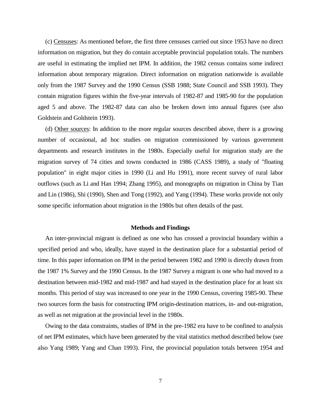(c) Censuses: As mentioned before, the first three censuses carried out since 1953 have no direct information on migration, but they do contain acceptable provincial population totals. The numbers are useful in estimating the implied net IPM. In addition, the 1982 census contains some indirect information about temporary migration. Direct information on migration nationwide is available only from the 1987 Survey and the 1990 Census (SSB 1988; State Council and SSB 1993). They contain migration figures within the five-year intervals of 1982-87 and 1985-90 for the population aged 5 and above. The 1982-87 data can also be broken down into annual figures (see also Goldstein and Goldstein 1993).

 (d) Other sources: In addition to the more regular sources described above, there is a growing number of occasional, ad hoc studies on migration commissioned by various government departments and research institutes in the 1980s. Especially useful for migration study are the migration survey of 74 cities and towns conducted in 1986 (CASS 1989), a study of "floating population" in eight major cities in 1990 (Li and Hu 1991), more recent survey of rural labor outflows (such as Li and Han 1994; Zhang 1995), and monographs on migration in China by Tian and Lin (1986), Shi (1990), Shen and Tong (1992), and Yang (1994). These works provide not only some specific information about migration in the 1980s but often details of the past.

# **Methods and Findings**

 An inter-provincial migrant is defined as one who has crossed a provincial boundary within a specified period and who, ideally, have stayed in the destination place for a substantial period of time. In this paper information on IPM in the period between 1982 and 1990 is directly drawn from the 1987 1% Survey and the 1990 Census. In the 1987 Survey a migrant is one who had moved to a destination between mid-1982 and mid-1987 and had stayed in the destination place for at least six months. This period of stay was increased to one year in the 1990 Census, covering 1985-90. These two sources form the basis for constructing IPM origin-destination matrices, in- and out-migration, as well as net migration at the provincial level in the 1980s.

 Owing to the data constraints, studies of IPM in the pre-1982 era have to be confined to analysis of net IPM estimates, which have been generated by the vital statistics method described below (see also Yang 1989; Yang and Chan 1993). First, the provincial population totals between 1954 and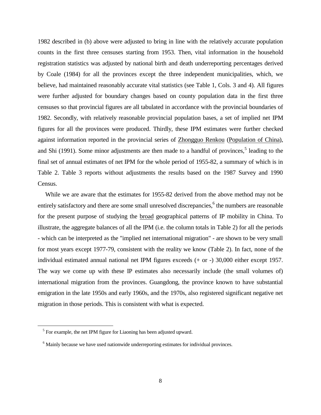1982 described in (b) above were adjusted to bring in line with the relatively accurate population counts in the first three censuses starting from 1953. Then, vital information in the household registration statistics was adjusted by national birth and death underreporting percentages derived by Coale (1984) for all the provinces except the three independent municipalities, which, we believe, had maintained reasonably accurate vital statistics (see Table 1, Cols. 3 and 4). All figures were further adjusted for boundary changes based on county population data in the first three censuses so that provincial figures are all tabulated in accordance with the provincial boundaries of 1982. Secondly, with relatively reasonable provincial population bases, a set of implied net IPM figures for all the provinces were produced. Thirdly, these IPM estimates were further checked against information reported in the provincial series of Zhongguo Renkou (Population of China), and Shi (1991). Some minor adjustments are then made to a handful of provinces,<sup>5</sup> leading to the final set of annual estimates of net IPM for the whole period of 1955-82, a summary of which is in Table 2. Table 3 reports without adjustments the results based on the 1987 Survey and 1990 Census.

 While we are aware that the estimates for 1955-82 derived from the above method may not be entirely satisfactory and there are some small unresolved discrepancies,<sup>6</sup> the numbers are reasonable for the present purpose of studying the broad geographical patterns of IP mobility in China. To illustrate, the aggregate balances of all the IPM (i.e. the column totals in Table 2) for all the periods - which can be interpreted as the "implied net international migration" - are shown to be very small for most years except 1977-79, consistent with the reality we know (Table 2). In fact, none of the individual estimated annual national net IPM figures exceeds (+ or -) 30,000 either except 1957. The way we come up with these IP estimates also necessarily include (the small volumes of) international migration from the provinces. Guangdong, the province known to have substantial emigration in the late 1950s and early 1960s, and the 1970s, also registered significant negative net migration in those periods. This is consistent with what is expected.

<sup>&</sup>lt;sup>5</sup> For example, the net IPM figure for Liaoning has been adjusted upward.

<sup>&</sup>lt;sup>6</sup> Mainly because we have used nationwide underreporting estimates for individual provinces.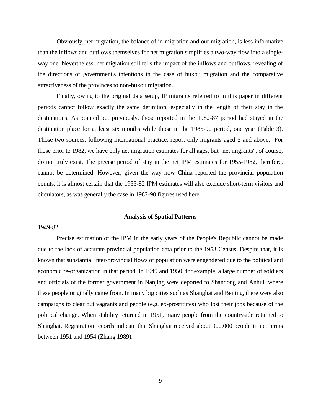Obviously, net migration, the balance of in-migration and out-migration, is less informative than the inflows and outflows themselves for net migration simplifies a two-way flow into a singleway one. Nevertheless, net migration still tells the impact of the inflows and outflows, revealing of the directions of government's intentions in the case of hukou migration and the comparative attractiveness of the provinces to non-hukou migration.

Finally, owing to the original data setup, IP migrants referred to in this paper in different periods cannot follow exactly the same definition, especially in the length of their stay in the destinations. As pointed out previously, those reported in the 1982-87 period had stayed in the destination place for at least six months while those in the 1985-90 period, one year (Table 3). Those two sources, following international practice, report only migrants aged 5 and above. For those prior to 1982, we have only net migration estimates for all ages, but "net migrants", of course, do not truly exist. The precise period of stay in the net IPM estimates for 1955-1982, therefore, cannot be determined. However, given the way how China reported the provincial population counts, it is almost certain that the 1955-82 IPM estimates will also exclude short-term visitors and circulators, as was generally the case in 1982-90 figures used here.

# **Analysis of Spatial Patterns**

## 1949-82:

Precise estimation of the IPM in the early years of the People's Republic cannot be made due to the lack of accurate provincial population data prior to the 1953 Census. Despite that, it is known that substantial inter-provincial flows of population were engendered due to the political and economic re-organization in that period. In 1949 and 1950, for example, a large number of soldiers and officials of the former government in Nanjing were deported to Shandong and Anhui, where these people originally came from. In many big cities such as Shanghai and Beijing, there were also campaigns to clear out vagrants and people (e.g. ex-prostitutes) who lost their jobs because of the political change. When stability returned in 1951, many people from the countryside returned to Shanghai. Registration records indicate that Shanghai received about 900,000 people in net terms between 1951 and 1954 (Zhang 1989).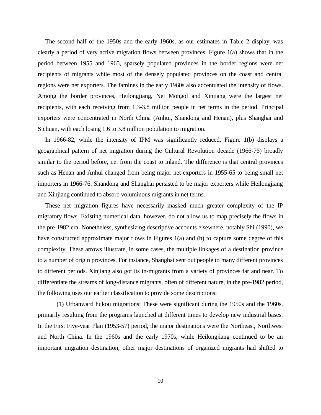The second half of the 1950s and the early 1960s, as our estimates in Table 2 display, was clearly a period of very active migration flows between provinces. Figure 1(a) shows that in the period between 1955 and 1965, sparsely populated provinces in the border regions were net recipients of migrants while most of the densely populated provinces on the coast and central regions were net exporters. The famines in the early 1960s also accentuated the intensity of flows. Among the border provinces, Heilongjiang, Nei Mongol and Xinjiang were the largest net recipients, with each receiving from 1.3-3.8 million people in net terms in the period. Principal exporters were concentrated in North China (Anhui, Shandong and Henan), plus Shanghai and Sichuan, with each losing 1.6 to 3.8 million population to migration.

 In 1966-82, while the intensity of IPM was significantly reduced, Figure 1(b) displays a geographical pattern of net migration during the Cultural Revolution decade (1966-76) broadly similar to the period before, i.e. from the coast to inland. The difference is that central provinces such as Henan and Anhui changed from being major net exporters in 1955-65 to being small net importers in 1966-76. Shandong and Shanghai persisted to be major exporters while Heilongjiang and Xinjiang continued to absorb voluminous migrants in net terms.

 These net migration figures have necessarily masked much greater complexity of the IP migratory flows. Existing numerical data, however, do not allow us to map precisely the flows in the pre-1982 era. Nonetheless, synthesizing descriptive accounts elsewhere, notably Shi (1990), we have constructed approximate major flows in Figures 1(a) and (b) to capture some degree of this complexity. These arrows illustrate, in some cases, the multiple linkages of a destination province to a number of origin provinces. For instance, Shanghai sent out people to many different provinces to different periods. Xinjiang also got its in-migrants from a variety of provinces far and near. To differentiate the streams of long-distance migrants, often of different nature, in the pre-1982 period, the following uses our earlier classification to provide some descriptions:

(1) Urbanward hukou migrations: These were significant during the 1950s and the 1960s, primarily resulting from the programs launched at different times to develop new industrial bases. In the First Five-year Plan (1953-57) period, the major destinations were the Northeast, Northwest and North China. In the 1960s and the early 1970s, while Heilongjiang continued to be an important migration destination, other major destinations of organized migrants had shifted to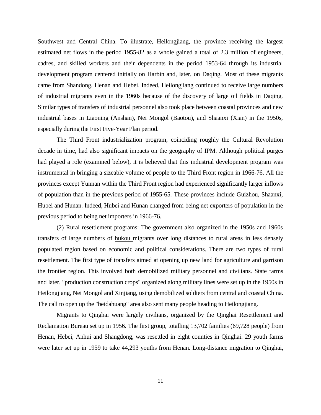Southwest and Central China. To illustrate, Heilongjiang, the province receiving the largest estimated net flows in the period 1955-82 as a whole gained a total of 2.3 million of engineers, cadres, and skilled workers and their dependents in the period 1953-64 through its industrial development program centered initially on Harbin and, later, on Daqing. Most of these migrants came from Shandong, Henan and Hebei. Indeed, Heilongjiang continued to receive large numbers of industrial migrants even in the 1960s because of the discovery of large oil fields in Daqing. Similar types of transfers of industrial personnel also took place between coastal provinces and new industrial bases in Liaoning (Anshan), Nei Mongol (Baotou), and Shaanxi (Xian) in the 1950s, especially during the First Five-Year Plan period.

The Third Front industrialization program, coinciding roughly the Cultural Revolution decade in time, had also significant impacts on the geography of IPM. Although political purges had played a role (examined below), it is believed that this industrial development program was instrumental in bringing a sizeable volume of people to the Third Front region in 1966-76. All the provinces except Yunnan within the Third Front region had experienced significantly larger inflows of population than in the previous period of 1955-65. These provinces include Guizhou, Shaanxi, Hubei and Hunan. Indeed, Hubei and Hunan changed from being net exporters of population in the previous period to being net importers in 1966-76.

(2) Rural resettlement programs: The government also organized in the 1950s and 1960s transfers of large numbers of hukou migrants over long distances to rural areas in less densely populated region based on economic and political considerations. There are two types of rural resettlement. The first type of transfers aimed at opening up new land for agriculture and garrison the frontier region. This involved both demobilized military personnel and civilians. State farms and later, "production construction crops" organized along military lines were set up in the 1950s in Heilongjiang, Nei Mongol and Xinjiang, using demobilized soldiers from central and coastal China. The call to open up the "beidahuang" area also sent many people heading to Heilongjiang.

Migrants to Qinghai were largely civilians, organized by the Qinghai Resettlement and Reclamation Bureau set up in 1956. The first group, totalling 13,702 families (69,728 people) from Henan, Hebei, Anhui and Shangdong, was resettled in eight counties in Qinghai. 29 youth farms were later set up in 1959 to take 44,293 youths from Henan. Long-distance migration to Qinghai,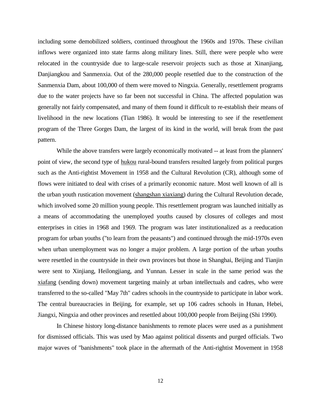including some demobilized soldiers, continued throughout the 1960s and 1970s. These civilian inflows were organized into state farms along military lines. Still, there were people who were relocated in the countryside due to large-scale reservoir projects such as those at Xinanjiang, Danjiangkou and Sanmenxia. Out of the 280,000 people resettled due to the construction of the Sanmenxia Dam, about 100,000 of them were moved to Ningxia. Generally, resettlement programs due to the water projects have so far been not successful in China. The affected population was generally not fairly compensated, and many of them found it difficult to re-establish their means of livelihood in the new locations (Tian 1986). It would be interesting to see if the resettlement program of the Three Gorges Dam, the largest of its kind in the world, will break from the past pattern.

While the above transfers were largely economically motivated -- at least from the planners' point of view, the second type of hukou rural-bound transfers resulted largely from political purges such as the Anti-rightist Movement in 1958 and the Cultural Revolution (CR), although some of flows were initiated to deal with crises of a primarily economic nature. Most well known of all is the urban youth rustication movement (shangshan xiaxiang) during the Cultural Revolution decade, which involved some 20 million young people. This resettlement program was launched initially as a means of accommodating the unemployed youths caused by closures of colleges and most enterprises in cities in 1968 and 1969. The program was later institutionalized as a reeducation program for urban youths ("to learn from the peasants") and continued through the mid-1970s even when urban unemployment was no longer a major problem. A large portion of the urban youths were resettled in the countryside in their own provinces but those in Shanghai, Beijing and Tianjin were sent to Xinjiang, Heilongjiang, and Yunnan. Lesser in scale in the same period was the xiafang (sending down) movement targeting mainly at urban intellectuals and cadres, who were transferred to the so-called "May 7th" cadres schools in the countryside to participate in labor work. The central bureaucracies in Beijing, for example, set up 106 cadres schools in Hunan, Hebei, Jiangxi, Ningxia and other provinces and resettled about 100,000 people from Beijing (Shi 1990).

In Chinese history long-distance banishments to remote places were used as a punishment for dismissed officials. This was used by Mao against political dissents and purged officials. Two major waves of "banishments" took place in the aftermath of the Anti-rightist Movement in 1958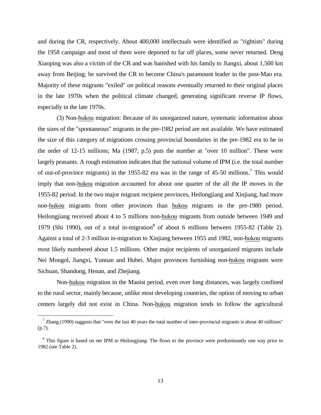and during the CR, respectively. About 400,000 intellectuals were identified as "rightists" during the 1958 campaign and most of them were deported to far off places, some never returned. Deng Xiaoping was also a victim of the CR and was banished with his family to Jiangxi, about 1,500 km away from Beijing; he survived the CR to become China's paramount leader in the post-Mao era. Majority of these migrants "exiled" on political reasons eventually returned to their original places in the late 1970s when the political climate changed, generating significant reverse IP flows, especially in the late 1970s.

(3) Non-hukou migration: Because of its unorganized nature, systematic information about the sizes of the "spontaneous" migrants in the pre-1982 period are not available. We have estimated the size of this category of migrations crossing provincial boundaries in the pre-1982 era to be in the order of 12-15 millions; Ma (1987, p.5) puts the number at "over 10 million". These were largely peasants. A rough estimation indicates that the national volume of IPM (i.e. the total number of out-of-province migrants) in the 1955-82 era was in the range of 45-50 millions.<sup>7</sup> This would imply that non-hukou migration accounted for about one quarter of the all the IP moves in the 1955-82 period. In the two major migrant recipient provinces, Heilongjiang and Xinjiang, had more non-hukou migrants from other provinces than hukou migrants in the pre-1980 period. Heilongjiang received about 4 to 5 millions non-hukou migrants from outside between 1949 and 1979 (Shi 1990), out of a total in-migration<sup>8</sup> of about 6 millions between 1955-82 (Table 2). Against a total of 2-3 million in-migration to Xinjiang between 1955 and 1982, non-hukou migrants most likely numbered about 1.5 millions. Other major recipients of unorganized migrants include Nei Mongol, Jiangxi, Yunnan and Hubei. Major provinces furnishing non-hukou migrants were Sichuan, Shandong, Henan, and Zhejiang.

Non-hukou migration in the Maoist period, even over long distances, was largely confined to the rural sector, mainly because, unlike most developing countries, the option of moving to urban centers largely did not exist in China. Non-hukou migration tends to follow the agricultural

 $\frac{7}{1}$  Zhang (1990) suggests that "over the last 40 years the total number of inter-provincial migrants is about 40 millions" (p.7).

<sup>&</sup>lt;sup>8</sup> This figure is based on net IPM to Heilongjiang. The flows to the province were predominantly one way prior to 1982 (see Table 2).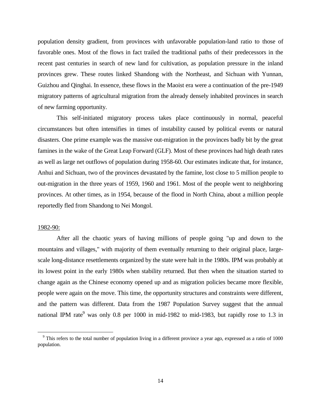population density gradient, from provinces with unfavorable population-land ratio to those of favorable ones. Most of the flows in fact trailed the traditional paths of their predecessors in the recent past centuries in search of new land for cultivation, as population pressure in the inland provinces grew. These routes linked Shandong with the Northeast, and Sichuan with Yunnan, Guizhou and Qinghai. In essence, these flows in the Maoist era were a continuation of the pre-1949 migratory patterns of agricultural migration from the already densely inhabited provinces in search of new farming opportunity.

This self-initiated migratory process takes place continuously in normal, peaceful circumstances but often intensifies in times of instability caused by political events or natural disasters. One prime example was the massive out-migration in the provinces badly bit by the great famines in the wake of the Great Leap Forward (GLF). Most of these provinces had high death rates as well as large net outflows of population during 1958-60. Our estimates indicate that, for instance, Anhui and Sichuan, two of the provinces devastated by the famine, lost close to 5 million people to out-migration in the three years of 1959, 1960 and 1961. Most of the people went to neighboring provinces. At other times, as in 1954, because of the flood in North China, about a million people reportedly fled from Shandong to Nei Mongol.

# 1982-90:

 $\overline{a}$ 

After all the chaotic years of having millions of people going "up and down to the mountains and villages," with majority of them eventually returning to their original place, largescale long-distance resettlements organized by the state were halt in the 1980s. IPM was probably at its lowest point in the early 1980s when stability returned. But then when the situation started to change again as the Chinese economy opened up and as migration policies became more flexible, people were again on the move. This time, the opportunity structures and constraints were different, and the pattern was different. Data from the 1987 Population Survey suggest that the annual national IPM rate<sup>9</sup> was only 0.8 per 1000 in mid-1982 to mid-1983, but rapidly rose to 1.3 in

<sup>&</sup>lt;sup>9</sup> This refers to the total number of population living in a different province a year ago, expressed as a ratio of 1000 population.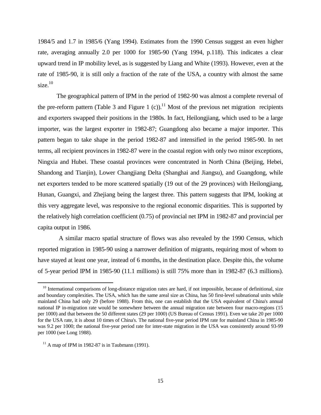1984/5 and 1.7 in 1985/6 (Yang 1994). Estimates from the 1990 Census suggest an even higher rate, averaging annually 2.0 per 1000 for 1985-90 (Yang 1994, p.118). This indicates a clear upward trend in IP mobility level, as is suggested by Liang and White (1993). However, even at the rate of 1985-90, it is still only a fraction of the rate of the USA, a country with almost the same size. $10$ 

The geographical pattern of IPM in the period of 1982-90 was almost a complete reversal of the pre-reform pattern (Table 3 and Figure 1 (c)).<sup>11</sup> Most of the previous net migration recipients and exporters swapped their positions in the 1980s. In fact, Heilongjiang, which used to be a large importer, was the largest exporter in 1982-87; Guangdong also became a major importer. This pattern began to take shape in the period 1982-87 and intensified in the period 1985-90. In net terms, all recipient provinces in 1982-87 were in the coastal region with only two minor exceptions, Ningxia and Hubei. These coastal provinces were concentrated in North China (Beijing, Hebei, Shandong and Tianjin), Lower Changjiang Delta (Shanghai and Jiangsu), and Guangdong, while net exporters tended to be more scattered spatially (19 out of the 29 provinces) with Heilongjiang, Hunan, Guangxi, and Zhejiang being the largest three. This pattern suggests that IPM, looking at this very aggregate level, was responsive to the regional economic disparities. This is supported by the relatively high correlation coefficient (0.75) of provincial net IPM in 1982-87 and provincial per capita output in 1986.

 A similar macro spatial structure of flows was also revealed by the 1990 Census, which reported migration in 1985-90 using a narrower definition of migrants, requiring most of whom to have stayed at least one year, instead of 6 months, in the destination place. Despite this, the volume of 5-year period IPM in 1985-90 (11.1 millions) is still 75% more than in 1982-87 (6.3 millions).

 $10$  International comparisons of long-distance migration rates are hard, if not impossible, because of definitional, size and boundary complexities. The USA, which has the same areal size as China, has 50 first-level subnational units while mainland China had only 29 (before 1988). From this, one can establish that the USA equivalent of China's annual national IP in-migration rate would be somewhere between the annual migration rate between four macro-regions (15 per 1000) and that between the 50 different states (29 per 1000) (US Bureau of Census 1991). Even we take 20 per 1000 for the USA rate, it is about 10 times of China's. The national five-year period IPM rate for mainland China in 1985-90 was 9.2 per 1000; the national five-year period rate for inter-state migration in the USA was consistently around 93-99 per 1000 (see Long 1988).

 $11$  A map of IPM in 1982-87 is in Taubmann (1991).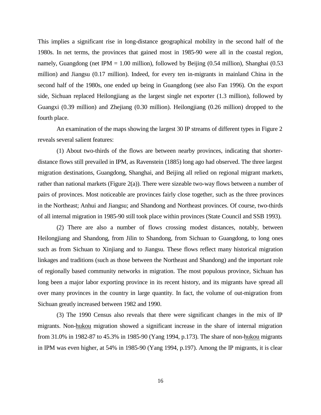This implies a significant rise in long-distance geographical mobility in the second half of the 1980s. In net terms, the provinces that gained most in 1985-90 were all in the coastal region, namely, Guangdong (net IPM = 1.00 million), followed by Beijing (0.54 million), Shanghai (0.53 million) and Jiangsu (0.17 million). Indeed, for every ten in-migrants in mainland China in the second half of the 1980s, one ended up being in Guangdong (see also Fan 1996). On the export side, Sichuan replaced Heilongjiang as the largest single net exporter (1.3 million), followed by Guangxi (0.39 million) and Zhejiang (0.30 million). Heilongjiang (0.26 million) dropped to the fourth place.

An examination of the maps showing the largest 30 IP streams of different types in Figure 2 reveals several salient features:

(1) About two-thirds of the flows are between nearby provinces, indicating that shorterdistance flows still prevailed in IPM, as Ravenstein (1885) long ago had observed. The three largest migration destinations, Guangdong, Shanghai, and Beijing all relied on regional migrant markets, rather than national markets (Figure 2(a)). There were sizeable two-way flows between a number of pairs of provinces. Most noticeable are provinces fairly close together, such as the three provinces in the Northeast; Anhui and Jiangsu; and Shandong and Northeast provinces. Of course, two-thirds of all internal migration in 1985-90 still took place within provinces (State Council and SSB 1993).

(2) There are also a number of flows crossing modest distances, notably, between Heilongjiang and Shandong, from Jilin to Shandong, from Sichuan to Guangdong, to long ones such as from Sichuan to Xinjiang and to Jiangsu. These flows reflect many historical migration linkages and traditions (such as those between the Northeast and Shandong) and the important role of regionally based community networks in migration. The most populous province, Sichuan has long been a major labor exporting province in its recent history, and its migrants have spread all over many provinces in the country in large quantity. In fact, the volume of out-migration from Sichuan greatly increased between 1982 and 1990.

(3) The 1990 Census also reveals that there were significant changes in the mix of IP migrants. Non-hukou migration showed a significant increase in the share of internal migration from 31.0% in 1982-87 to 45.3% in 1985-90 (Yang 1994, p.173). The share of non-hukou migrants in IPM was even higher, at 54% in 1985-90 (Yang 1994, p.197). Among the IP migrants, it is clear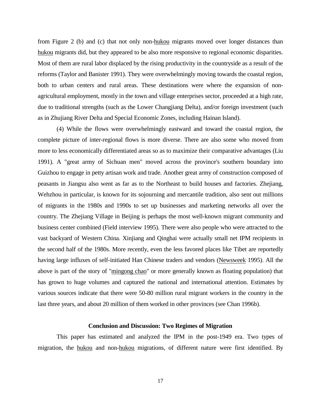from Figure 2 (b) and (c) that not only non-hukou migrants moved over longer distances than hukou migrants did, but they appeared to be also more responsive to regional economic disparities. Most of them are rural labor displaced by the rising productivity in the countryside as a result of the reforms (Taylor and Banister 1991). They were overwhelmingly moving towards the coastal region, both to urban centers and rural areas. These destinations were where the expansion of nonagricultural employment, mostly in the town and village enterprises sector, proceeded at a high rate, due to traditional strengths (such as the Lower Changjiang Delta), and/or foreign investment (such as in Zhujiang River Delta and Special Economic Zones, including Hainan Island).

(4) While the flows were overwhelmingly eastward and toward the coastal region, the complete picture of inter-regional flows is more diverse. There are also some who moved from more to less economically differentiated areas so as to maximize their comparative advantages (Liu 1991). A "great army of Sichuan men" moved across the province's southern boundary into Guizhou to engage in petty artisan work and trade. Another great army of construction composed of peasants in Jiangsu also went as far as to the Northeast to build houses and factories. Zhejiang, Wehzhou in particular, is known for its sojourning and mercantile tradition, also sent out millions of migrants in the 1980s and 1990s to set up businesses and marketing networks all over the country. The Zhejiang Village in Beijing is perhaps the most well-known migrant community and business center combined (Field interview 1995). There were also people who were attracted to the vast backyard of Western China. Xinjiang and Qinghai were actually small net IPM recipients in the second half of the 1980s. More recently, even the less favored places like Tibet are reportedly having large influxes of self-initiated Han Chinese traders and vendors (Newsweek 1995). All the above is part of the story of "mingong chao" or more generally known as floating population) that has grown to huge volumes and captured the national and international attention. Estimates by various sources indicate that there were 50-80 million rural migrant workers in the country in the last three years, and about 20 million of them worked in other provinces (see Chan 1996b).

# **Conclusion and Discussion: Two Regimes of Migration**

This paper has estimated and analyzed the IPM in the post-1949 era. Two types of migration, the hukou and non-hukou migrations, of different nature were first identified. By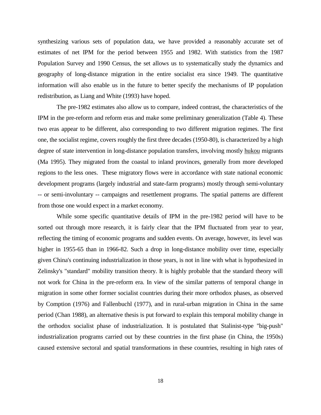synthesizing various sets of population data, we have provided a reasonably accurate set of estimates of net IPM for the period between 1955 and 1982. With statistics from the 1987 Population Survey and 1990 Census, the set allows us to systematically study the dynamics and geography of long-distance migration in the entire socialist era since 1949. The quantitative information will also enable us in the future to better specify the mechanisms of IP population redistribution, as Liang and White (1993) have hoped.

The pre-1982 estimates also allow us to compare, indeed contrast, the characteristics of the IPM in the pre-reform and reform eras and make some preliminary generalization (Table 4). These two eras appear to be different, also corresponding to two different migration regimes. The first one, the socialist regime, covers roughly the first three decades (1950-80), is characterized by a high degree of state intervention in long-distance population transfers, involving mostly hukou migrants (Ma 1995). They migrated from the coastal to inland provinces, generally from more developed regions to the less ones. These migratory flows were in accordance with state national economic development programs (largely industrial and state-farm programs) mostly through semi-voluntary -- or semi-involuntary -- campaigns and resettlement programs. The spatial patterns are different from those one would expect in a market economy.

While some specific quantitative details of IPM in the pre-1982 period will have to be sorted out through more research, it is fairly clear that the IPM fluctuated from year to year, reflecting the timing of economic programs and sudden events. On average, however, its level was higher in 1955-65 than in 1966-82. Such a drop in long-distance mobility over time, especially given China's continuing industrialization in those years, is not in line with what is hypothesized in Zelinsky's "standard" mobility transition theory. It is highly probable that the standard theory will not work for China in the pre-reform era. In view of the similar patterns of temporal change in migration in some other former socialist countries during their more orthodox phases, as observed by Comption (1976) and Fallenbuchl (1977), and in rural-urban migration in China in the same period (Chan 1988), an alternative thesis is put forward to explain this temporal mobility change in the orthodox socialist phase of industrialization. It is postulated that Stalinist-type "big-push" industrialization programs carried out by these countries in the first phase (in China, the 1950s) caused extensive sectoral and spatial transformations in these countries, resulting in high rates of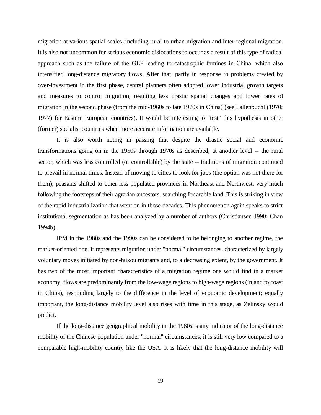migration at various spatial scales, including rural-to-urban migration and inter-regional migration. It is also not uncommon for serious economic dislocations to occur as a result of this type of radical approach such as the failure of the GLF leading to catastrophic famines in China, which also intensified long-distance migratory flows. After that, partly in response to problems created by over-investment in the first phase, central planners often adopted lower industrial growth targets and measures to control migration, resulting less drastic spatial changes and lower rates of migration in the second phase (from the mid-1960s to late 1970s in China) (see Fallenbuchl (1970; 1977) for Eastern European countries). It would be interesting to "test" this hypothesis in other (former) socialist countries when more accurate information are available.

It is also worth noting in passing that despite the drastic social and economic transformations going on in the 1950s through 1970s as described, at another level -- the rural sector, which was less controlled (or controllable) by the state -- traditions of migration continued to prevail in normal times. Instead of moving to cities to look for jobs (the option was not there for them), peasants shifted to other less populated provinces in Northeast and Northwest, very much following the footsteps of their agrarian ancestors, searching for arable land. This is striking in view of the rapid industrialization that went on in those decades. This phenomenon again speaks to strict institutional segmentation as has been analyzed by a number of authors (Christiansen 1990; Chan 1994b).

IPM in the 1980s and the 1990s can be considered to be belonging to another regime, the market-oriented one. It represents migration under "normal" circumstances, characterized by largely voluntary moves initiated by non-hukou migrants and, to a decreasing extent, by the government. It has two of the most important characteristics of a migration regime one would find in a market economy: flows are predominantly from the low-wage regions to high-wage regions (inland to coast in China), responding largely to the difference in the level of economic development; equally important, the long-distance mobility level also rises with time in this stage, as Zelinsky would predict.

If the long-distance geographical mobility in the 1980s is any indicator of the long-distance mobility of the Chinese population under "normal" circumstances, it is still very low compared to a comparable high-mobility country like the USA. It is likely that the long-distance mobility will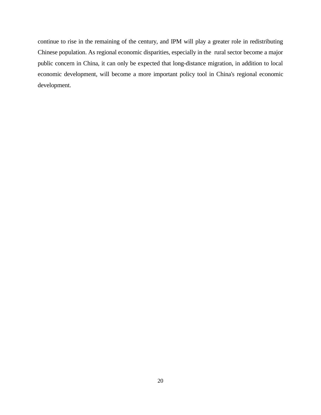continue to rise in the remaining of the century, and IPM will play a greater role in redistributing Chinese population. As regional economic disparities, especially in the rural sector become a major public concern in China, it can only be expected that long-distance migration, in addition to local economic development, will become a more important policy tool in China's regional economic development.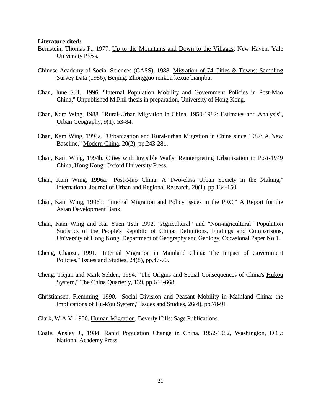### **Literature cited:**

- Bernstein, Thomas P., 1977. Up to the Mountains and Down to the Villages, New Haven: Yale University Press.
- Chinese Academy of Social Sciences (CASS), 1988. Migration of 74 Cities & Towns: Sampling Survey Data (1986), Beijing: Zhongguo renkou kexue bianjibu.
- Chan, June S.H., 1996. "Internal Population Mobility and Government Policies in Post-Mao China," Unpublished M.Phil thesis in preparation, University of Hong Kong.
- Chan, Kam Wing, 1988. "Rural-Urban Migration in China, 1950-1982: Estimates and Analysis", Urban Geography, 9(1): 53-84.
- Chan, Kam Wing, 1994a. "Urbanization and Rural-urban Migration in China since 1982: A New Baseline," Modern China, 20(2), pp.243-281.
- Chan, Kam Wing, 1994b. Cities with Invisible Walls: Reinterpreting Urbanization in Post-1949 China, Hong Kong: Oxford University Press.
- Chan, Kam Wing, 1996a. "Post-Mao China: A Two-class Urban Society in the Making," International Journal of Urban and Regional Research, 20(1), pp.134-150.
- Chan, Kam Wing, 1996b. "Internal Migration and Policy Issues in the PRC," A Report for the Asian Development Bank.
- Chan, Kam Wing and Kai Yuen Tsui 1992. "Agricultural" and "Non-agricultural" Population Statistics of the People's Republic of China: Definitions, Findings and Comparisons, University of Hong Kong, Department of Geography and Geology, Occasional Paper No.1.
- Cheng, Chaoze, 1991. "Internal Migration in Mainland China: The Impact of Government Policies," Issues and Studies, 24(8), pp.47-70.
- Cheng, Tiejun and Mark Selden, 1994. "The Origins and Social Consequences of China's Hukou System," The China Quarterly, 139, pp.644-668.
- Christiansen, Flemming, 1990. "Social Division and Peasant Mobility in Mainland China: the Implications of Hu-k'ou System," Issues and Studies, 26(4), pp.78-91.
- Clark, W.A.V. 1986. Human Migration, Beverly Hills: Sage Publications.
- Coale, Ansley J., 1984. Rapid Population Change in China, 1952-1982, Washington, D.C.: National Academy Press.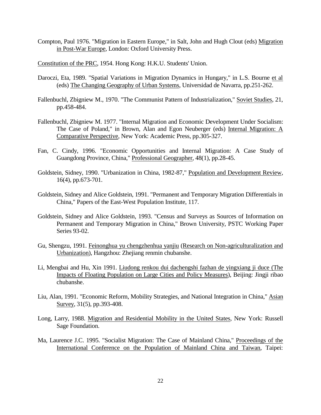Compton, Paul 1976. "Migration in Eastern Europe," in Salt, John and Hugh Clout (eds) Migration in Post-War Europe, London: Oxford University Press.

Constitution of the PRC, 1954. Hong Kong: H.K.U. Students' Union.

- Daroczi, Eta, 1989. "Spatial Variations in Migration Dynamics in Hungary," in L.S. Bourne et al (eds) The Changing Geography of Urban Systems, Universidad de Navarra, pp.251-262.
- Fallenbuchl, Zbigniew M., 1970. "The Communist Pattern of Industrialization," Soviet Studies, 21, pp.458-484.
- Fallenbuchl, Zbigniew M. 1977. "Internal Migration and Economic Development Under Socialism: The Case of Poland," in Brown, Alan and Egon Neuberger (eds) Internal Migration: A Comparative Perspective, New York: Academic Press, pp.305-327.
- Fan, C. Cindy, 1996. "Economic Opportunities and Internal Migration: A Case Study of Guangdong Province, China," Professional Geographer, 48(1), pp.28-45.
- Goldstein, Sidney, 1990. "Urbanization in China, 1982-87," Population and Development Review, 16(4), pp.673-701.
- Goldstein, Sidney and Alice Goldstein, 1991. "Permanent and Temporary Migration Differentials in China," Papers of the East-West Population Institute, 117.
- Goldstein, Sidney and Alice Goldstein, 1993. "Census and Surveys as Sources of Information on Permanent and Temporary Migration in China," Brown University, PSTC Working Paper Series 93-02.
- Gu, Shengzu, 1991. Feinonghua yu chengzhenhua yanjiu (Research on Non-agriculturalization and Urbanization), Hangzhou: Zhejiang renmin chubanshe.
- Li, Mengbai and Hu, Xin 1991. Liudong renkou dui dachengshi fazhan de yingxiang ji duce (The Impacts of Floating Population on Large Cities and Policy Measures), Beijing: Jingji ribao chubanshe.
- Liu, Alan, 1991. "Economic Reform, Mobility Strategies, and National Integration in China," Asian Survey, 31(5), pp.393-408.
- Long, Larry, 1988. Migration and Residential Mobility in the United States, New York: Russell Sage Foundation.
- Ma, Laurence J.C. 1995. "Socialist Migration: The Case of Mainland China," Proceedings of the International Conference on the Population of Mainland China and Taiwan, Taipei: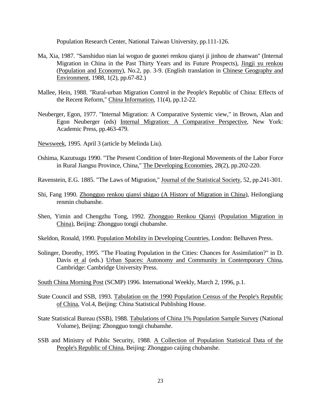Population Research Center, National Taiwan University, pp.111-126.

- Ma, Xia, 1987. "Sanshiduo nian lai woguo de guonei renkou qianyi ji jinhou de zhanwan" (Internal Migration in China in the Past Thirty Years and its Future Prospects), Jingji yu renkou (Population and Economy), No.2, pp. 3-9. (English translation in Chinese Geography and Environment, 1988, 1(2), pp.67-82.)
- Mallee, Hein, 1988. "Rural-urban Migration Control in the People's Republic of China: Effects of the Recent Reform," China Information, 11(4), pp.12-22.
- Neuberger, Egon, 1977. "Internal Migration: A Comparative Systemic view," in Brown, Alan and Egon Neuberger (eds) Internal Migration: A Comparative Perspective, New York: Academic Press, pp.463-479.
- Newsweek, 1995. April 3 (article by Melinda Liu).
- Oshima, Kazutsugu 1990. "The Present Condition of Inter-Regional Movements of the Labor Force in Rural Jiangsu Province, China," The Developing Economies, 28(2), pp.202-220.
- Ravenstein, E.G. 1885. "The Laws of Migration," Journal of the Statistical Society, 52, pp.241-301.
- Shi, Fang 1990. Zhongguo renkou qianyi shigao (A History of Migration in China), Heilongjiang renmin chubanshe.
- Shen, Yimin and Chengzhu Tong, 1992. Zhongguo Renkou Qianyi (Population Migration in China), Beijing: Zhongguo tongji chubanshe.
- Skeldon, Ronald, 1990. Population Mobility in Developing Countries, London: Belhaven Press.
- Solinger, Dorothy, 1995. "The Floating Population in the Cities: Chances for Assimilation?" in D. Davis et al (eds.) Urban Spaces: Autonomy and Community in Contemporary China, Cambridge: Cambridge University Press.
- South China Morning Post (SCMP) 1996. International Weekly, March 2, 1996, p.1.
- State Council and SSB, 1993. Tabulation on the 1990 Population Census of the People's Republic of China, Vol.4, Beijing: China Statistical Publishing House.
- State Statistical Bureau (SSB), 1988. Tabulations of China 1% Population Sample Survey (National Volume), Beijing: Zhongguo tongji chubanshe.
- SSB and Ministry of Public Security, 1988. A Collection of Population Statistical Data of the People's Republic of China, Beijing: Zhongguo caijing chubanshe.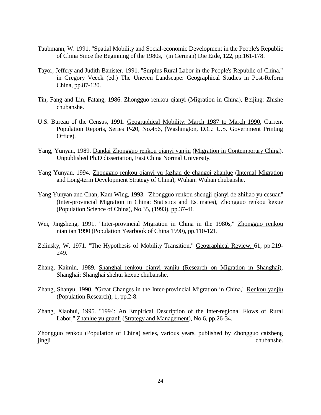- Taubmann, W. 1991. "Spatial Mobility and Social-economic Development in the People's Republic of China Since the Beginning of the 1980s," (in German) Die Erde, 122, pp.161-178.
- Tayor, Jeffery and Judith Banister, 1991. "Surplus Rural Labor in the People's Republic of China," in Gregory Veeck (ed.) The Uneven Landscape: Geographical Studies in Post-Reform China, pp.87-120.
- Tin, Fang and Lin, Fatang, 1986. Zhongguo renkou qianyi (Migration in China), Beijing: Zhishe chubanshe.
- U.S. Bureau of the Census, 1991. Geographical Mobility: March 1987 to March 1990, Current Population Reports, Series P-20, No.456, (Washington, D.C.: U.S. Government Printing Office).
- Yang, Yunyan, 1989. Dandai Zhongguo renkou qianyi yanjiu (Migration in Contemporary China), Unpublished Ph.D dissertation, East China Normal University.
- Yang Yunyan, 1994. Zhongguo renkou qianyi yu fazhan de changqi zhanlue (Internal Migration and Long-term Development Strategy of China), Wuhan: Wuhan chubanshe.
- Yang Yunyan and Chan, Kam Wing, 1993. "Zhongguo renkou shengji qianyi de zhiliao yu cesuan" (Inter-provincial Migration in China: Statistics and Estimates), Zhongguo renkou kexue (Population Science of China), No.35, (1993), pp.37-41.
- Wei, Jingsheng, 1991. "Inter-provincial Migration in China in the 1980s," Zhongguo renkou nianjian 1990 (Population Yearbook of China 1990), pp.110-121.
- Zelinsky, W. 1971. "The Hypothesis of Mobility Transition," Geographical Review, 61, pp.219- 249.
- Zhang, Kaimin, 1989. Shanghai renkou qianyi yanjiu (Research on Migration in Shanghai), Shanghai: Shanghai shehui kexue chubanshe.
- Zhang, Shanyu, 1990. "Great Changes in the Inter-provincial Migration in China," Renkou yanjiu (Population Research), 1, pp.2-8.
- Zhang, Xiaohui, 1995. "1994: An Empirical Description of the Inter-regional Flows of Rural Labor," Zhanlue yu guanli (Strategy and Management), No.6, pp.26-34.

Zhongguo renkou (Population of China) series, various years, published by Zhongguo caizheng jingji chubanshe.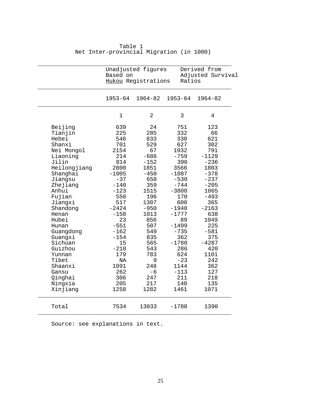|                                                                                                                                                                                                                                                                              | Based on                                                                                                                                                                                                   | Unadjusted figures<br>Hukou Registrations                                                                                                                                               |                                                                                                                                                                                                                   | Derived from<br>Adjusted Survival<br>Ratios                                                                                                                                                                  |  |  |
|------------------------------------------------------------------------------------------------------------------------------------------------------------------------------------------------------------------------------------------------------------------------------|------------------------------------------------------------------------------------------------------------------------------------------------------------------------------------------------------------|-----------------------------------------------------------------------------------------------------------------------------------------------------------------------------------------|-------------------------------------------------------------------------------------------------------------------------------------------------------------------------------------------------------------------|--------------------------------------------------------------------------------------------------------------------------------------------------------------------------------------------------------------|--|--|
|                                                                                                                                                                                                                                                                              | 1953-64                                                                                                                                                                                                    | 1964-82                                                                                                                                                                                 | 1953-64                                                                                                                                                                                                           | $1964 - 82$                                                                                                                                                                                                  |  |  |
|                                                                                                                                                                                                                                                                              | 1                                                                                                                                                                                                          | 2                                                                                                                                                                                       | 3                                                                                                                                                                                                                 | 4                                                                                                                                                                                                            |  |  |
| Beijing<br>Tianjin<br>Hebei<br>Shanxi<br>Nei Mongol<br>Liaoning<br>Jilin<br>Heilongjiang<br>Shanghai<br>Jiangsu<br>Zhejiang<br>Anhui<br>Fujian<br>Jiangxi<br>Shandong<br>Henan<br>Hubei<br>Hunan<br>Guangdong<br>Guangxi<br>Sichuan<br>Guizhou<br>Yunnan<br>Tibet<br>Shaanxi | 639<br>225<br>546<br>701<br>2154<br>214<br>814<br>2800<br>$-1005$<br>$-37$<br>$-140$<br>$-123$<br>550<br>517<br>$-2424$<br>$-158$<br>23<br>$-551$<br>$-162$<br>$-154$<br>15<br>$-210$<br>179<br>NA<br>1091 | 24<br>285<br>833<br>529<br>67<br>$-686$<br>$-152$<br>1851<br>$-450$<br>658<br>359<br>1515<br>196<br>1307<br>$-950$<br>1013<br>856<br>507<br>549<br>835<br>565<br>543<br>783<br>9<br>248 | 751<br>332<br>330<br>627<br>1932<br>$-759$<br>390<br>3566<br>$-1087$<br>$-530$<br>$-744$<br>$-3808$<br>170<br>600<br>-1948<br>$-1777$<br>89<br>$-1499$<br>$-735$<br>362<br>$-1780$<br>286<br>624<br>$-23$<br>1144 | 123<br>66<br>621<br>302<br>791<br>$-1129$<br>$-236$<br>1803<br>$-378$<br>$-237$<br>$-205$<br>1065<br>$-493$<br>365<br>$-2163$<br>638<br>1049<br>225<br>$-581$<br>375<br>$-4287$<br>420<br>1101<br>242<br>362 |  |  |
| Gansu<br>Oinghai<br>Ningxia<br>Xinjiang                                                                                                                                                                                                                                      | 262<br>306<br>205<br>1258                                                                                                                                                                                  | -6<br>247<br>217<br>1282                                                                                                                                                                | -113<br>211<br>140<br>1461                                                                                                                                                                                        | 127<br>218<br>135<br>1071                                                                                                                                                                                    |  |  |
| Total                                                                                                                                                                                                                                                                        | 7534                                                                                                                                                                                                       | 13033                                                                                                                                                                                   | -1788                                                                                                                                                                                                             | 1390                                                                                                                                                                                                         |  |  |

Table 1 Net Inter-provincial Migration (in 1000)

Source: see explanations in text.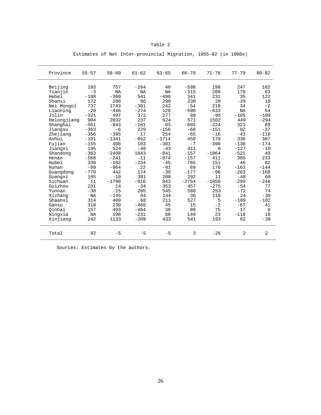### Table 2

| Province    | $55 - 57$ | $58 - 60$ | $61 - 62$ | $63 - 65$ | $66 - 70$ | $71 - 76$ | $77 - 79$      | $80 - 82$ |
|-------------|-----------|-----------|-----------|-----------|-----------|-----------|----------------|-----------|
| Beijing     | 193       | 757       | $-284$    | 40        | $-598$    | 198       | 247            | 102       |
| Tianjin     | $-3$      | <b>NA</b> | <b>NA</b> | <b>NA</b> | $-315$    | 209       | 179            | 63        |
| Hebei       | $-108$    | $-360$    | 541       | $-490$    | 341       | 231       | 35             | 122       |
| Shanxi      | 172       | 280       | 86        | 290       | 230       | 28        | $-29$          | 18        |
| Nei Mongol  | 737       | 1743      | $-381$    | 242       | $-54$     | 218       | 34             | $-2$      |
| Liaoning    | $-20$     | $-446$    | $-274$    | 128       | $-590$    | $-633$    | NA             | 54        |
| Jilin       | $-321$    | 497       | 372       | 277       | 88        | $-95$     | $-105$         | $-109$    |
| Helongjiang | 904       | 2032      | 237       | 624       | 571       | 1502      | 449            | $-294$    |
| Shanghai    | $-561$    | $-843$    | $-161$    | $-83$     | $-685$    | $-224$    | 321            | 89        |
| Jiangsu     | $-363$    | $-6$      | 229       | $-156$    | $-68$     | $-151$    | 92             | $-37$     |
| Zhejiang    | $-356$    | $-395$    | 17        | 254       | $-65$     | $-16$     | $-43$          | $-118$    |
| Anhui       | $-101$    | $-1341$   | $-652$    | $-1714$   | 450       | 170       | 336            | 387       |
| Fujian      | $-155$    | 408       | 103       | $-381$    | $-7$      | $-390$    | $-130$         | $-174$    |
| Jianqxi     | 195       | 524       | $-48$     | $-43$     | 411       | 6         | $-127$         | $-10$     |
| Shandong    | $-363$    | $-2498$   | 1843      | $-841$    | $-157$    | $-1064$   | $-521$         | 49        |
| Henan       | $-568$    | $-241$    | $-11$     | $-874$    | $-157$    | 411       | 305            | 233       |
| Hubei       | 339       | $-102$    | $-234$    | $-45$     | 765       | 151       | 46             | 82        |
| Hunan       | $-99$     | $-964$    | 22        | $-91$     | 89        | 170       | $-163$         | $-144$    |
| Guangdong   | $-770$    | 442       | 174       | $-30$     | $-177$    | $-98$     | $-263$         | $-168$    |
| Guanqxi     | 105       | $-10$     | 381       | 208       | 292       | 11        | $-48$          | 68        |
| Sichuan     | 11        | $-1790$   | $-916$    | 843       | $-2754$   | $-1050$   | $-299$         | $-248$    |
| Guizhou     | 231       | 14        | $-34$     | 353       | 457       | $-275$    | $-54$          | 77        |
| Yunnan      | $-38$     | $-15$     | 205       | 545       | 588       | 253       | $-72$          | 74        |
| Xizhang     | NA        | $-145$    | 84        | 144       | 36        | 118       | 24             | $-39$     |
| Shaanxi     | 314       | 400       | 68        | 211       | 527       | 5         | $-109$         | $-102$    |
| Gansu       | 318       | 230       | $-468$    | 45        | 15        | $-2$      | $-67$          | 41        |
| Oinhai      | 157       | 493       | $-464$    | 38        | 80        | 75        | 17             | 8         |
| Ningxia     | NA        | 198       | $-231$    | 68        | 149       | 23        | $-118$         | 19        |
| Xinjiang    | 242       | 1133      | $-209$    | 433       | 541       | 193       | 62             | $-39$     |
| Total       | 92        | $-5$      | $-5$      | $-5$      | 3         | $-26$     | $\overline{a}$ | 2         |

# Estimates of Net Inter-provincial Migration, 1955-82 (in 1000s)

Sources: Estimates by the authors.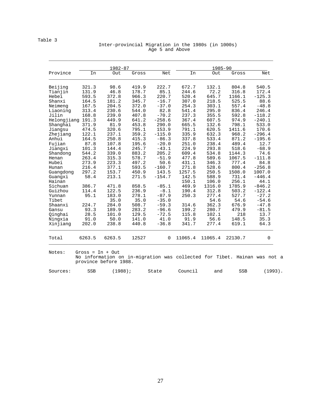#### Table 3

#### Inter-provincial Migration in the 1980s (in 1000s) Age 5 and Above

|                   | $1982 - 87$        |                       |       |          |         | 1985-90 |                                                                          |            |  |  |
|-------------------|--------------------|-----------------------|-------|----------|---------|---------|--------------------------------------------------------------------------|------------|--|--|
| Province          | In                 | Out                   | Gross | Net      | In      | Out     | Gross                                                                    | Net        |  |  |
| Beijing           | 321.3              | 98.6                  | 419.9 | 222.7    | 672.7   | 132.1   | 804.8                                                                    | 540.5      |  |  |
| Tianjin           | 131.9              | 46.8                  | 178.7 | 85.1     | 244.6   | 72.2    | 316.8                                                                    | 172.4      |  |  |
| Hebei             | 593.5              | 372.8                 | 966.3 | 220.7    | 520.4   | 645.7   | 1166.1                                                                   | $-125.3$   |  |  |
| Shanxi            | 164.5              | 181.2                 | 345.7 | $-16.7$  | 307.0   | 218.5   | 525.5                                                                    | 88.6       |  |  |
| Neimeng           | 167.5              | 204.5                 | 372.0 | $-37.0$  | 254.3   | 303.1   | 557.4                                                                    | $-48.8$    |  |  |
| Liaoning          | 313.4              | 230.6                 | 544.0 | 82.8     | 541.4   | 295.0   | 836.4                                                                    | 246.4      |  |  |
| Jilin             | 168.8              | 239.0                 | 407.8 | $-70.2$  | 237.3   | 355.5   | 592.8                                                                    | $-118.2$   |  |  |
| Helongjiang 191.3 |                    | 449.9                 | 641.2 | $-258.6$ | 367.4   | 607.5   | 974.9                                                                    | $-240.1$   |  |  |
| Shanghai          | 371.9              | 81.9                  | 453.8 | 290.0    | 665.5   | 132.6   | 798.1                                                                    | 533.0      |  |  |
| Jiangsu           | 474.5              | 320.6                 | 795.1 | 153.9    | 791.1   | 620.5   | 1411.6                                                                   | 170.6      |  |  |
| Zhejiang          | 122.1              | 237.1                 | 359.2 | $-115.0$ | 335.9   | 632.3   | 968.2                                                                    | $-296.4$   |  |  |
| Anhui             | 164.5              | 250.8                 | 415.3 | $-86.3$  | 337.8   | 533.4   | 871.2                                                                    | $-195.6$   |  |  |
| Fujian            | 87.8               | 107.8                 | 195.6 | $-20.0$  | 251.0   | 238.4   | 489.4                                                                    | 12.7       |  |  |
| Jiangxi           | 101.3              | 144.4                 | 245.7 | $-43.1$  | 224.9   | 293.8   | 518.6                                                                    | $-68.9$    |  |  |
| Shandong          | 544.2              | 339.0                 | 883.2 | 205.2    | 609.4   | 534.8   | 1144.3                                                                   | 74.6       |  |  |
| Henan             | 263.4              | 315.3                 | 578.7 | $-51.9$  | 477.8   | 589.6   | 1067.5                                                                   | $-111.8$   |  |  |
| Hubei             | 273.9              | 223.3                 | 497.2 | 50.6     | 431.1   | 346.3   | 777.4                                                                    | 84.8       |  |  |
| Hunan             | 216.4              | 377.1                 | 593.5 | $-160.7$ | 271.8   | 528.6   | 800.4                                                                    | $-256.8$   |  |  |
| Guangdong         | 297.2              | 153.7                 | 450.9 | 143.5    | 1257.5  | 250.5   | 1508.0                                                                   | 1007.0     |  |  |
| Guanqxi           | 58.4               | 213.1                 | 271.5 | $-154.7$ | 142.5   | 588.9   | 731.4                                                                    | $-446.4$   |  |  |
| Hainan            |                    |                       |       |          | 150.1   | 106.0   | 256.1                                                                    | 44.1       |  |  |
| Sichuan           | 386.7              | 471.8                 | 858.5 | $-85.1$  | 469.9   | 1316.0  | 1785.9                                                                   | $-846.2$   |  |  |
| Guizhou           | 114.4              | 122.5                 | 236.9 | $-8.1$   | 190.4   | 312.8   | 503.2                                                                    | $-122.4$   |  |  |
| Yunnan            | 95.1               | 183.0                 | 278.1 | $-87.9$  | 250.3   | 277.4   | 527.7                                                                    | $-27.2$    |  |  |
| Tibet             |                    | 35.0                  | 35.0  | $-35.0$  |         | 54.6    | 54.6                                                                     | $-54.6$    |  |  |
| Shaanxi           | 224.7              | 284.0                 | 508.7 | $-59.3$  | 314.6   | 362.3   | 676.9                                                                    | $-47.8$    |  |  |
| Gansu             | 93.3               | 189.9                 | 283.2 | $-96.6$  | 199.2   | 280.7   | 479.9                                                                    | $-81.5$    |  |  |
| Qinghai           | 28.5               | 101.0                 | 129.5 | $-72.5$  | 115.8   | 102.1   | 218                                                                      | 13.7       |  |  |
| Ningxia           | 91.0               | 50.0                  | 141.0 | 41.0     | 91.9    | 56.6    | 148.5                                                                    | 35.3       |  |  |
| Xinjiang          | 202.0              | 238.8                 | 440.8 | $-36.8$  | 341.7   | 277.4   | 619.1                                                                    | 64.3       |  |  |
| Total             | 6263.5             | 6263.5                | 12527 | 0        | 11065.4 | 11065.4 | 22130.7                                                                  | 0          |  |  |
| Notes:            | Gross = $In + Out$ |                       |       |          |         |         |                                                                          |            |  |  |
|                   |                    | province before 1988. |       |          |         |         | No information on in-migration was collected for Tibet. Hainan was not a |            |  |  |
| Sources:          | <b>SSB</b>         | $(1988)$ ;            |       | State    | Council | and     | <b>SSB</b>                                                               | $(1993)$ . |  |  |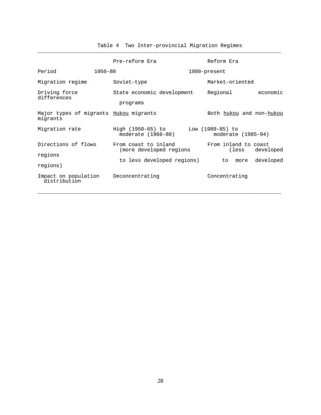|                                                      |         | Pre-reform Era                                  |  | Reform Era                             |           |                   |  |  |
|------------------------------------------------------|---------|-------------------------------------------------|--|----------------------------------------|-----------|-------------------|--|--|
| Period                                               | 1950-80 |                                                 |  | 1980-present                           |           |                   |  |  |
| Migration regime                                     |         | Soviet-type                                     |  | Market-oriented                        |           |                   |  |  |
| Driving force<br>differences                         |         | State economic development<br>programs          |  | Regional                               |           | economic          |  |  |
| Major types of migrants Hukou migrants<br>migrants   |         |                                                 |  | Both hukou and non-hukou               |           |                   |  |  |
| Migration rate                                       |         | High (1950-65) to<br>moderate (1966-80)         |  | Low (1980-85) to<br>moderate (1985-94) |           |                   |  |  |
| Directions of flows<br>regions                       |         | From coast to inland<br>(more developed regions |  | From inland to coast<br>(less          | developed |                   |  |  |
| regions)                                             |         | to less developed regions)                      |  |                                        |           | to more developed |  |  |
| Impact on population Deconcentrating<br>distribution |         |                                                 |  | Concentrating                          |           |                   |  |  |

\_\_\_\_\_\_\_\_\_\_\_\_\_\_\_\_\_\_\_\_\_\_\_\_\_\_\_\_\_\_\_\_\_\_\_\_\_\_\_\_\_\_\_\_\_\_\_\_\_\_\_\_\_\_\_\_\_\_\_\_\_\_\_\_\_\_\_\_\_\_\_\_\_\_\_\_\_\_\_

Table 4 Two Inter-provincial Migration Regimes

\_\_\_\_\_\_\_\_\_\_\_\_\_\_\_\_\_\_\_\_\_\_\_\_\_\_\_\_\_\_\_\_\_\_\_\_\_\_\_\_\_\_\_\_\_\_\_\_\_\_\_\_\_\_\_\_\_\_\_\_\_\_\_\_\_\_\_\_\_\_\_\_\_\_\_\_\_\_\_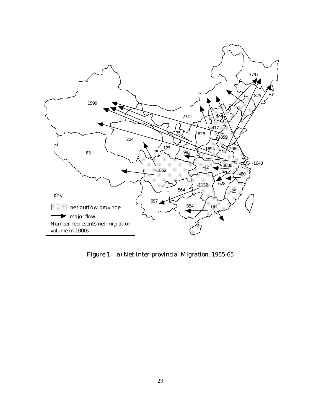

Figure 1. a) Net Inter-provincial Migration, 1955-65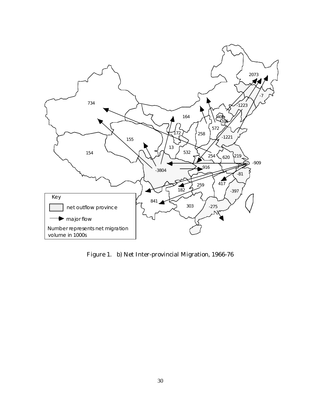

Figure 1. b) Net Inter-provincial Migration, 1966-76